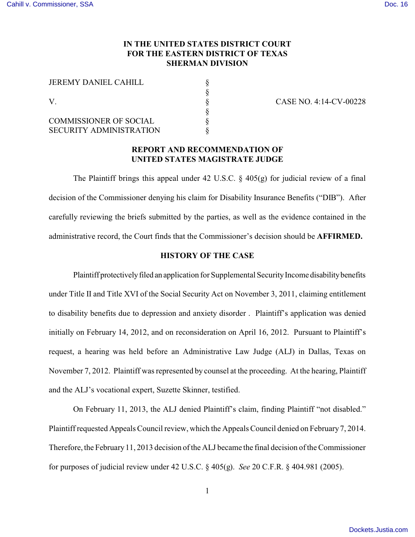# **IN THE UNITED STATES DISTRICT COURT FOR THE EASTERN DISTRICT OF TEXAS SHERMAN DIVISION**

§

§

| <b>JEREMY DANIEL CAHILL</b><br>V |  |
|----------------------------------|--|
|                                  |  |
|                                  |  |
|                                  |  |
| <b>COMMISSIONER OF SOCIAL</b>    |  |
| <b>SECURITY ADMINISTRATION</b>   |  |

CASE NO. 4:14-CV-00228

# **REPORT AND RECOMMENDATION OF UNITED STATES MAGISTRATE JUDGE**

The Plaintiff brings this appeal under 42 U.S.C.  $\S$  405(g) for judicial review of a final decision of the Commissioner denying his claim for Disability Insurance Benefits ("DIB"). After carefully reviewing the briefs submitted by the parties, as well as the evidence contained in the administrative record, the Court finds that the Commissioner's decision should be **AFFIRMED.**

## **HISTORY OF THE CASE**

Plaintiff protectively filed an application for Supplemental Security Income disability benefits under Title II and Title XVI of the Social Security Act on November 3, 2011, claiming entitlement to disability benefits due to depression and anxiety disorder . Plaintiff's application was denied initially on February 14, 2012, and on reconsideration on April 16, 2012. Pursuant to Plaintiff's request, a hearing was held before an Administrative Law Judge (ALJ) in Dallas, Texas on November 7, 2012. Plaintiff was represented by counsel at the proceeding. At the hearing, Plaintiff and the ALJ's vocational expert, Suzette Skinner, testified.

On February 11, 2013, the ALJ denied Plaintiff's claim, finding Plaintiff "not disabled." Plaintiff requested Appeals Council review, which the Appeals Council denied on February 7, 2014. Therefore, the February 11, 2013 decision of the ALJ became the final decision of the Commissioner for purposes of judicial review under 42 U.S.C. § 405(g). *See* 20 C.F.R. § 404.981 (2005).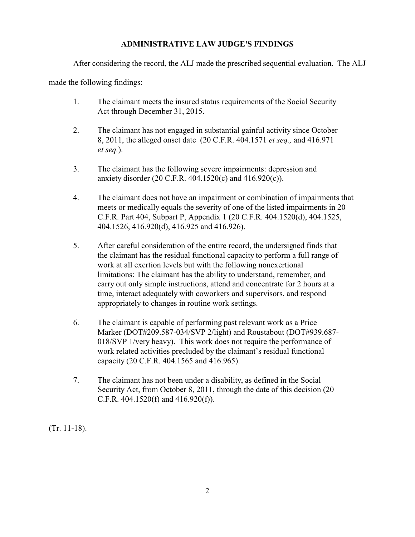# **ADMINISTRATIVE LAW JUDGE'S FINDINGS**

After considering the record, the ALJ made the prescribed sequential evaluation. The ALJ

made the following findings:

- 1. The claimant meets the insured status requirements of the Social Security Act through December 31, 2015.
- 2. The claimant has not engaged in substantial gainful activity since October 8, 2011, the alleged onset date (20 C.F.R. 404.1571 *et seq.,* and 416.971 *et seq.*).
- 3. The claimant has the following severe impairments: depression and anxiety disorder (20 C.F.R. 404.1520(c) and 416.920(c)).
- 4. The claimant does not have an impairment or combination of impairments that meets or medically equals the severity of one of the listed impairments in 20 C.F.R. Part 404, Subpart P, Appendix 1 (20 C.F.R. 404.1520(d), 404.1525, 404.1526, 416.920(d), 416.925 and 416.926).
- 5. After careful consideration of the entire record, the undersigned finds that the claimant has the residual functional capacity to perform a full range of work at all exertion levels but with the following nonexertional limitations: The claimant has the ability to understand, remember, and carry out only simple instructions, attend and concentrate for 2 hours at a time, interact adequately with coworkers and supervisors, and respond appropriately to changes in routine work settings.
- 6. The claimant is capable of performing past relevant work as a Price Marker (DOT#209.587-034/SVP 2/light) and Roustabout (DOT#939.687- 018/SVP 1/very heavy). This work does not require the performance of work related activities precluded by the claimant's residual functional capacity (20 C.F.R. 404.1565 and 416.965).
- 7. The claimant has not been under a disability, as defined in the Social Security Act, from October 8, 2011, through the date of this decision (20 C.F.R. 404.1520(f) and 416.920(f)).

(Tr. 11-18).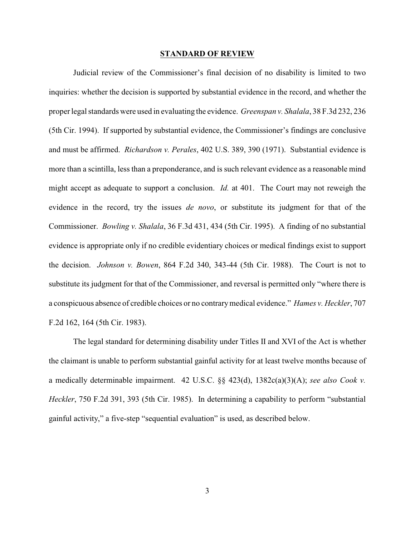#### **STANDARD OF REVIEW**

Judicial review of the Commissioner's final decision of no disability is limited to two inquiries: whether the decision is supported by substantial evidence in the record, and whether the proper legal standards were used in evaluating the evidence. *Greenspan v. Shalala*, 38 F.3d 232, 236 (5th Cir. 1994). If supported by substantial evidence, the Commissioner's findings are conclusive and must be affirmed. *Richardson v. Perales*, 402 U.S. 389, 390 (1971). Substantial evidence is more than a scintilla, less than a preponderance, and is such relevant evidence as a reasonable mind might accept as adequate to support a conclusion. *Id.* at 401. The Court may not reweigh the evidence in the record, try the issues *de novo*, or substitute its judgment for that of the Commissioner. *Bowling v. Shalala*, 36 F.3d 431, 434 (5th Cir. 1995). A finding of no substantial evidence is appropriate only if no credible evidentiary choices or medical findings exist to support the decision. *Johnson v. Bowen*, 864 F.2d 340, 343-44 (5th Cir. 1988). The Court is not to substitute its judgment for that of the Commissioner, and reversal is permitted only "where there is a conspicuous absence of credible choices or no contrary medical evidence." *Hames v. Heckler*, 707 F.2d 162, 164 (5th Cir. 1983).

The legal standard for determining disability under Titles II and XVI of the Act is whether the claimant is unable to perform substantial gainful activity for at least twelve months because of a medically determinable impairment. 42 U.S.C. §§ 423(d), 1382c(a)(3)(A); *see also Cook v. Heckler*, 750 F.2d 391, 393 (5th Cir. 1985). In determining a capability to perform "substantial gainful activity," a five-step "sequential evaluation" is used, as described below.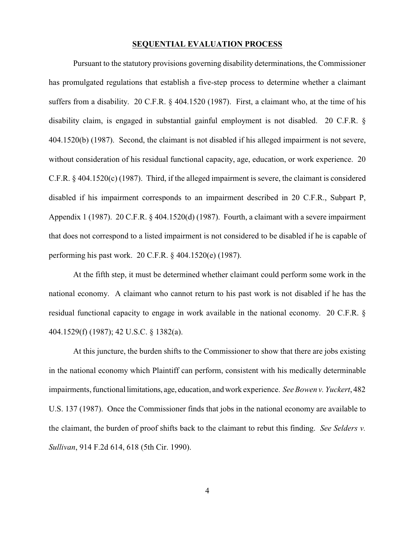### **SEQUENTIAL EVALUATION PROCESS**

Pursuant to the statutory provisions governing disability determinations, the Commissioner has promulgated regulations that establish a five-step process to determine whether a claimant suffers from a disability. 20 C.F.R. § 404.1520 (1987). First, a claimant who, at the time of his disability claim, is engaged in substantial gainful employment is not disabled. 20 C.F.R. § 404.1520(b) (1987). Second, the claimant is not disabled if his alleged impairment is not severe, without consideration of his residual functional capacity, age, education, or work experience. 20 C.F.R. § 404.1520(c) (1987). Third, if the alleged impairment is severe, the claimant is considered disabled if his impairment corresponds to an impairment described in 20 C.F.R., Subpart P, Appendix 1 (1987). 20 C.F.R. § 404.1520(d) (1987). Fourth, a claimant with a severe impairment that does not correspond to a listed impairment is not considered to be disabled if he is capable of performing his past work. 20 C.F.R. § 404.1520(e) (1987).

At the fifth step, it must be determined whether claimant could perform some work in the national economy. A claimant who cannot return to his past work is not disabled if he has the residual functional capacity to engage in work available in the national economy. 20 C.F.R. § 404.1529(f) (1987); 42 U.S.C. § 1382(a).

At this juncture, the burden shifts to the Commissioner to show that there are jobs existing in the national economy which Plaintiff can perform, consistent with his medically determinable impairments, functional limitations, age, education, and work experience. *See Bowen v. Yuckert*, 482 U.S. 137 (1987). Once the Commissioner finds that jobs in the national economy are available to the claimant, the burden of proof shifts back to the claimant to rebut this finding. *See Selders v. Sullivan*, 914 F.2d 614, 618 (5th Cir. 1990).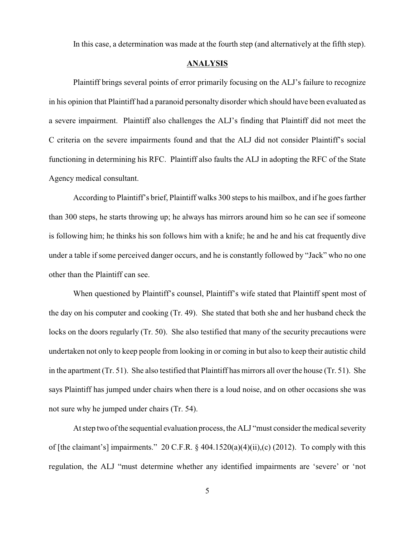In this case, a determination was made at the fourth step (and alternatively at the fifth step).

## **ANALYSIS**

Plaintiff brings several points of error primarily focusing on the ALJ's failure to recognize in his opinion that Plaintiff had a paranoid personalty disorder which should have been evaluated as a severe impairment. Plaintiff also challenges the ALJ's finding that Plaintiff did not meet the C criteria on the severe impairments found and that the ALJ did not consider Plaintiff's social functioning in determining his RFC. Plaintiff also faults the ALJ in adopting the RFC of the State Agency medical consultant.

According to Plaintiff's brief, Plaintiff walks 300 steps to his mailbox, and if he goes farther than 300 steps, he starts throwing up; he always has mirrors around him so he can see if someone is following him; he thinks his son follows him with a knife; he and he and his cat frequently dive under a table if some perceived danger occurs, and he is constantly followed by "Jack" who no one other than the Plaintiff can see.

When questioned by Plaintiff's counsel, Plaintiff's wife stated that Plaintiff spent most of the day on his computer and cooking (Tr. 49). She stated that both she and her husband check the locks on the doors regularly (Tr. 50). She also testified that many of the security precautions were undertaken not only to keep people from looking in or coming in but also to keep their autistic child in the apartment (Tr. 51). She also testified that Plaintiff has mirrors all over the house (Tr. 51). She says Plaintiff has jumped under chairs when there is a loud noise, and on other occasions she was not sure why he jumped under chairs (Tr. 54).

At step two of the sequential evaluation process, the ALJ "must consider the medical severity of [the claimant's] impairments." 20 C.F.R. § 404.1520(a)(4)(ii),(c) (2012). To comply with this regulation, the ALJ "must determine whether any identified impairments are 'severe' or 'not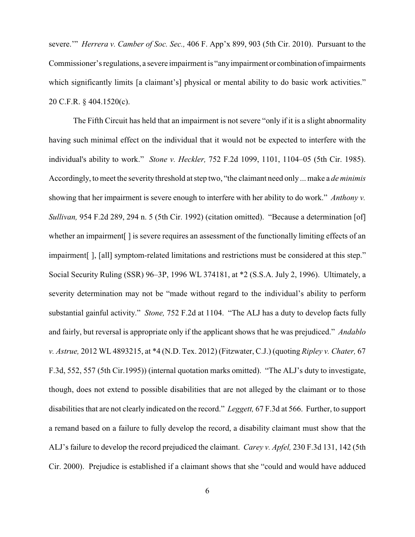severe.'" *Herrera v. Camber of Soc. Sec.,* 406 F. App'x 899, 903 (5th Cir. 2010). Pursuant to the Commissioner's regulations, a severe impairment is "any impairment or combination of impairments which significantly limits [a claimant's] physical or mental ability to do basic work activities." 20 C.F.R. § 404.1520(c).

The Fifth Circuit has held that an impairment is not severe "only if it is a slight abnormality having such minimal effect on the individual that it would not be expected to interfere with the individual's ability to work." *Stone v. Heckler,* 752 F.2d 1099, 1101, 1104–05 (5th Cir. 1985). Accordingly, to meet the severity threshold at step two, "the claimant need only ... make a *de minimis* showing that her impairment is severe enough to interfere with her ability to do work." *Anthony v. Sullivan,* 954 F.2d 289, 294 n. 5 (5th Cir. 1992) (citation omitted). "Because a determination [of] whether an impairment<sup>[]</sup> is severe requires an assessment of the functionally limiting effects of an impairment[ ], [all] symptom-related limitations and restrictions must be considered at this step." Social Security Ruling (SSR) 96–3P, 1996 WL 374181, at \*2 (S.S.A. July 2, 1996). Ultimately, a severity determination may not be "made without regard to the individual's ability to perform substantial gainful activity." *Stone,* 752 F.2d at 1104. "The ALJ has a duty to develop facts fully and fairly, but reversal is appropriate only if the applicant shows that he was prejudiced." *Andablo v. Astrue,* 2012 WL 4893215, at \*4 (N.D. Tex. 2012) (Fitzwater, C.J.) (quoting *Ripley v. Chater,* 67 F.3d, 552, 557 (5th Cir.1995)) (internal quotation marks omitted). "The ALJ's duty to investigate, though, does not extend to possible disabilities that are not alleged by the claimant or to those disabilities that are not clearly indicated on the record." *Leggett,* 67 F.3d at 566. Further, to support a remand based on a failure to fully develop the record, a disability claimant must show that the ALJ's failure to develop the record prejudiced the claimant. *Carey v. Apfel,* 230 F.3d 131, 142 (5th Cir. 2000). Prejudice is established if a claimant shows that she "could and would have adduced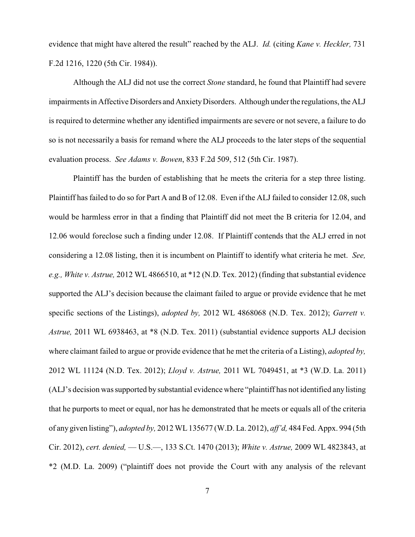evidence that might have altered the result" reached by the ALJ. *Id.* (citing *Kane v. Heckler,* 731 F.2d 1216, 1220 (5th Cir. 1984)).

Although the ALJ did not use the correct *Stone* standard, he found that Plaintiff had severe impairments in Affective Disorders and Anxiety Disorders. Although under the regulations, the ALJ is required to determine whether any identified impairments are severe or not severe, a failure to do so is not necessarily a basis for remand where the ALJ proceeds to the later steps of the sequential evaluation process. *See Adams v. Bowen*, 833 F.2d 509, 512 (5th Cir. 1987).

Plaintiff has the burden of establishing that he meets the criteria for a step three listing. Plaintiff has failed to do so for Part A and B of 12.08. Even if the ALJ failed to consider 12.08, such would be harmless error in that a finding that Plaintiff did not meet the B criteria for 12.04, and 12.06 would foreclose such a finding under 12.08. If Plaintiff contends that the ALJ erred in not considering a 12.08 listing, then it is incumbent on Plaintiff to identify what criteria he met. *See, e.g., White v. Astrue,* 2012 WL 4866510, at \*12 (N.D. Tex. 2012) (finding that substantial evidence supported the ALJ's decision because the claimant failed to argue or provide evidence that he met specific sections of the Listings), *adopted by,* 2012 WL 4868068 (N.D. Tex. 2012); *Garrett v. Astrue,* 2011 WL 6938463, at \*8 (N.D. Tex. 2011) (substantial evidence supports ALJ decision where claimant failed to argue or provide evidence that he met the criteria of a Listing), *adopted by,* 2012 WL 11124 (N.D. Tex. 2012); *Lloyd v. Astrue,* 2011 WL 7049451, at \*3 (W.D. La. 2011) (ALJ's decision was supported by substantial evidence where "plaintiff has not identified any listing that he purports to meet or equal, nor has he demonstrated that he meets or equals all of the criteria of any given listing"), *adopted by,* 2012 WL 135677 (W.D. La. 2012), *aff'd,* 484 Fed. Appx. 994 (5th Cir. 2012), *cert. denied,* –– U.S.––, 133 S.Ct. 1470 (2013); *White v. Astrue,* 2009 WL 4823843, at \*2 (M.D. La. 2009) ("plaintiff does not provide the Court with any analysis of the relevant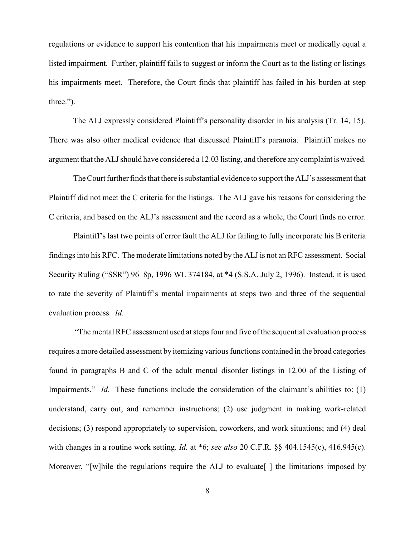regulations or evidence to support his contention that his impairments meet or medically equal a listed impairment. Further, plaintiff fails to suggest or inform the Court as to the listing or listings his impairments meet. Therefore, the Court finds that plaintiff has failed in his burden at step three.").

The ALJ expressly considered Plaintiff's personality disorder in his analysis (Tr. 14, 15). There was also other medical evidence that discussed Plaintiff's paranoia. Plaintiff makes no argument that the ALJ should have considered a 12.03 listing, and therefore any complaint is waived.

The Court further finds that there is substantial evidence to support the ALJ's assessment that Plaintiff did not meet the C criteria for the listings. The ALJ gave his reasons for considering the C criteria, and based on the ALJ's assessment and the record as a whole, the Court finds no error.

Plaintiff's last two points of error fault the ALJ for failing to fully incorporate his B criteria findings into his RFC. The moderate limitations noted by the ALJ is not an RFC assessment. Social Security Ruling ("SSR") 96–8p, 1996 WL 374184, at \*4 (S.S.A. July 2, 1996). Instead, it is used to rate the severity of Plaintiff's mental impairments at steps two and three of the sequential evaluation process. *Id.*

 "The mental RFC assessment used at steps four and five of the sequential evaluation process requires a more detailed assessment by itemizing various functions contained in the broad categories found in paragraphs B and C of the adult mental disorder listings in 12.00 of the Listing of Impairments." *Id.* These functions include the consideration of the claimant's abilities to: (1) understand, carry out, and remember instructions; (2) use judgment in making work-related decisions; (3) respond appropriately to supervision, coworkers, and work situations; and (4) deal with changes in a routine work setting. *Id.* at \*6; *see also* 20 C.F.R. §§ 404.1545(c), 416.945(c). Moreover, "[w]hile the regulations require the ALJ to evaluate[] the limitations imposed by